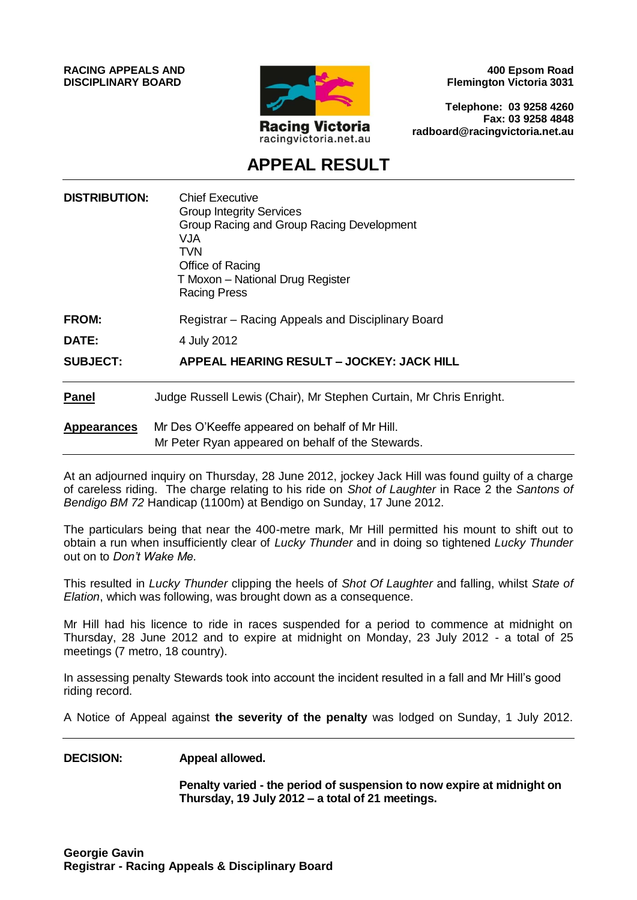**RACING APPEALS AND DISCIPLINARY BOARD**



**400 Epsom Road Flemington Victoria 3031**

**Telephone: 03 9258 4260 Fax: 03 9258 4848 radboard@racingvictoria.net.au**

## **APPEAL RESULT**

| <b>DISTRIBUTION:</b> | <b>Chief Executive</b><br><b>Group Integrity Services</b><br>Group Racing and Group Racing Development<br>VJA<br><b>TVN</b><br>Office of Racing<br>T Moxon - National Drug Register<br><b>Racing Press</b> |
|----------------------|------------------------------------------------------------------------------------------------------------------------------------------------------------------------------------------------------------|
| <b>FROM:</b>         | Registrar - Racing Appeals and Disciplinary Board                                                                                                                                                          |
| <b>DATE:</b>         | 4 July 2012                                                                                                                                                                                                |
| <b>SUBJECT:</b>      | APPEAL HEARING RESULT - JOCKEY: JACK HILL                                                                                                                                                                  |
| Panel                | Judge Russell Lewis (Chair), Mr Stephen Curtain, Mr Chris Enright.                                                                                                                                         |
| <b>Appearances</b>   | Mr Des O'Keeffe appeared on behalf of Mr Hill.<br>Mr Peter Ryan appeared on behalf of the Stewards.                                                                                                        |

At an adjourned inquiry on Thursday, 28 June 2012, jockey Jack Hill was found guilty of a charge of careless riding. The charge relating to his ride on *Shot of Laughter* in Race 2 the *Santons of Bendigo BM 72* Handicap (1100m) at Bendigo on Sunday, 17 June 2012.

The particulars being that near the 400-metre mark, Mr Hill permitted his mount to shift out to obtain a run when insufficiently clear of *Lucky Thunder* and in doing so tightened *Lucky Thunder* out on to *Don't Wake Me.*

This resulted in *Lucky Thunder* clipping the heels of *Shot Of Laughter* and falling, whilst *State of Elation*, which was following, was brought down as a consequence.

Mr Hill had his licence to ride in races suspended for a period to commence at midnight on Thursday, 28 June 2012 and to expire at midnight on Monday, 23 July 2012 - a total of 25 meetings (7 metro, 18 country).

In assessing penalty Stewards took into account the incident resulted in a fall and Mr Hill's good riding record.

A Notice of Appeal against **the severity of the penalty** was lodged on Sunday, 1 July 2012.

#### **DECISION: Appeal allowed.**

**Penalty varied - the period of suspension to now expire at midnight on Thursday, 19 July 2012 – a total of 21 meetings.**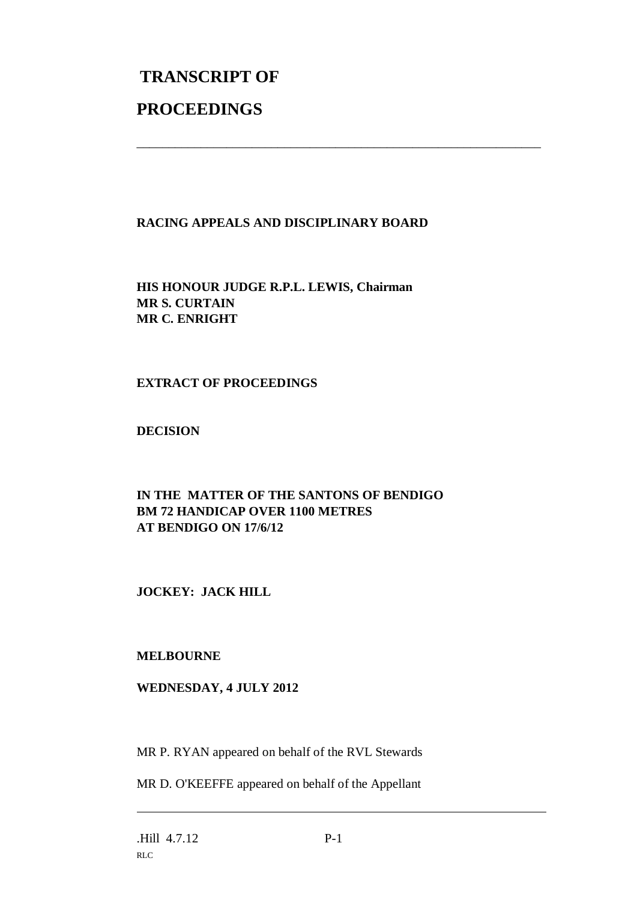# **TRANSCRIPT OF PROCEEDINGS**

### **RACING APPEALS AND DISCIPLINARY BOARD**

\_\_\_\_\_\_\_\_\_\_\_\_\_\_\_\_\_\_\_\_\_\_\_\_\_\_\_\_\_\_\_\_\_\_\_\_\_\_\_\_\_\_\_\_\_\_\_\_\_\_\_\_\_\_\_\_\_\_\_\_\_\_\_

**HIS HONOUR JUDGE R.P.L. LEWIS, Chairman MR S. CURTAIN MR C. ENRIGHT**

#### **EXTRACT OF PROCEEDINGS**

**DECISION**

#### **IN THE MATTER OF THE SANTONS OF BENDIGO BM 72 HANDICAP OVER 1100 METRES AT BENDIGO ON 17/6/12**

**JOCKEY: JACK HILL**

### **MELBOURNE**

#### **WEDNESDAY, 4 JULY 2012**

MR P. RYAN appeared on behalf of the RVL Stewards

MR D. O'KEEFFE appeared on behalf of the Appellant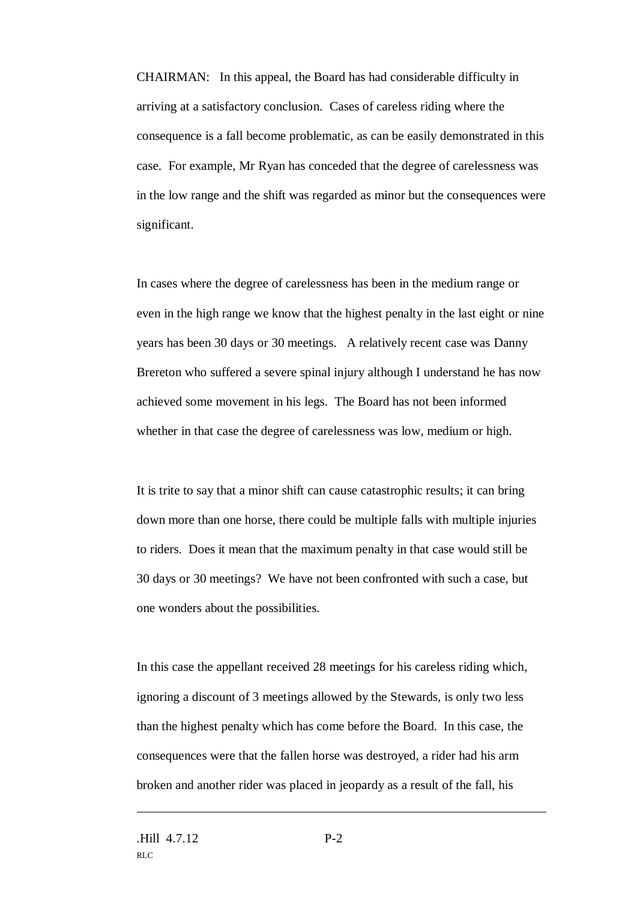CHAIRMAN: In this appeal, the Board has had considerable difficulty in arriving at a satisfactory conclusion. Cases of careless riding where the consequence is a fall become problematic, as can be easily demonstrated in this case. For example, Mr Ryan has conceded that the degree of carelessness was in the low range and the shift was regarded as minor but the consequences were significant.

In cases where the degree of carelessness has been in the medium range or even in the high range we know that the highest penalty in the last eight or nine years has been 30 days or 30 meetings. A relatively recent case was Danny Brereton who suffered a severe spinal injury although I understand he has now achieved some movement in his legs. The Board has not been informed whether in that case the degree of carelessness was low, medium or high.

It is trite to say that a minor shift can cause catastrophic results; it can bring down more than one horse, there could be multiple falls with multiple injuries to riders. Does it mean that the maximum penalty in that case would still be 30 days or 30 meetings? We have not been confronted with such a case, but one wonders about the possibilities.

In this case the appellant received 28 meetings for his careless riding which, ignoring a discount of 3 meetings allowed by the Stewards, is only two less than the highest penalty which has come before the Board. In this case, the consequences were that the fallen horse was destroyed, a rider had his arm broken and another rider was placed in jeopardy as a result of the fall, his